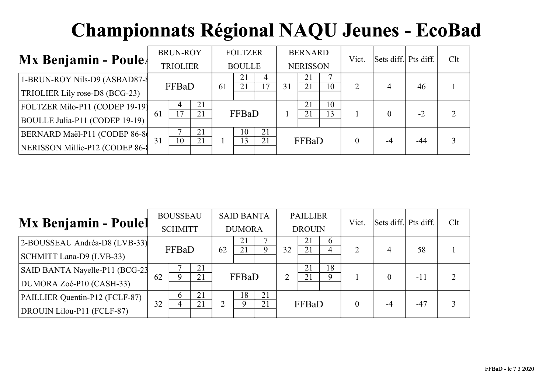| $Mx$ Benjamin - Poule                                            |    | <b>BRUN-ROY</b><br><b>TRIOLIER</b> |          |  | <b>FOLTZER</b><br><b>BOULLE</b> |                      |    | <b>BERNARD</b><br><b>NERISSON</b> |          | Vict. | Sets diff. Pts diff. |       | Clt |
|------------------------------------------------------------------|----|------------------------------------|----------|--|---------------------------------|----------------------|----|-----------------------------------|----------|-------|----------------------|-------|-----|
| 1-BRUN-ROY Nils-D9 (ASBAD87-8<br>TRIOLIER Lily rose-D8 (BCG-23)  |    | FFBaD<br>21                        |          |  | 21<br>21                        | 4<br>$\overline{17}$ | 31 | 21<br>21                          | 10       | 2     | 4                    | 46    |     |
| FOLTZER Milo-P11 (CODEP 19-19)<br>BOULLE Julia-P11 (CODEP 19-19) | 61 | 7                                  | 21       |  | FFBaD                           |                      |    | 21<br>21                          | 10<br>13 |       |                      | $-2$  |     |
| BERNARD Maël-P11 (CODEP 86-8<br>NERISSON Millie-P12 (CODEP 86-8  | 31 | 10                                 | 21<br>21 |  | 10<br>13                        | 21<br>21             |    | FFBaD                             |          | 0     |                      | $-44$ |     |

|                                |    | <b>BOUSSEAU</b> |    |    | <b>SAID BANTA</b> |    |    | <b>PAILLIER</b> |          | Vict.          | Sets diff. Pts diff. |       | Clt |
|--------------------------------|----|-----------------|----|----|-------------------|----|----|-----------------|----------|----------------|----------------------|-------|-----|
| <b>Mx Benjamin - Poulel</b>    |    | <b>SCHMITT</b>  |    |    | <b>DUMORA</b>     |    |    | <b>DROUIN</b>   |          |                |                      |       |     |
| 2-BOUSSEAU Andréa-D8 (LVB-33)  |    |                 |    | 62 | 21<br>21          | 9  |    | 21<br>21        | $\sigma$ | $\overline{2}$ | 4                    | 58    |     |
| SCHMITT Lana-D9 (LVB-33)       |    | FFBaD           |    |    |                   |    | 32 |                 | 4        |                |                      |       |     |
| SAID BANTA Nayelle-P11 (BCG-23 |    |                 | 21 |    |                   |    |    | 21              | 18       |                |                      |       |     |
| DUMORA Zoé-P10 (CASH-33)       | 62 | 9               | 21 |    | FFBaD             |    | 2  | 21              | Q        |                |                      | $-11$ | 2   |
| PAILLIER Quentin-P12 (FCLF-87) |    | $\mathfrak b$   | 21 |    | 18                | 21 |    |                 |          |                |                      |       |     |
| DROUIN Lilou-P11 (FCLF-87)     | 32 | 4               | 21 |    |                   | 21 |    | FFBaD           |          | $\theta$       |                      | $-47$ | 3   |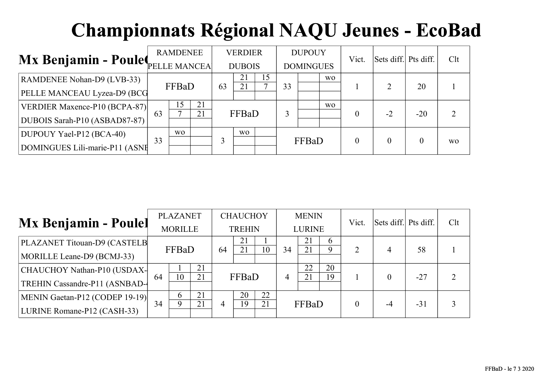|                                   |    | <b>RAMDENEE</b> |          |    | <b>VERDIER</b> |                 |    | <b>DUPOUY</b>    |                | Vict.          | Sets diff. Pts diff. |       | Clt            |
|-----------------------------------|----|-----------------|----------|----|----------------|-----------------|----|------------------|----------------|----------------|----------------------|-------|----------------|
| Mx Benjamin - Poulet FELLE MANCEA |    |                 |          |    | <b>DUBOIS</b>  |                 |    | <b>DOMINGUES</b> |                |                |                      |       |                |
| RAMDENEE Nohan-D9 (LVB-33)        |    |                 |          |    | 21<br>21       | $\overline{.5}$ |    |                  | W <sub>O</sub> |                |                      | 20    |                |
| PELLE MANCEAU Lyzea-D9 (BCG       |    | FFBaD           |          | 63 |                |                 | 33 |                  |                |                |                      |       |                |
| VERDIER Maxence-P10 (BCPA-87)     | 63 | 15              | 21<br>21 |    | FFBaD          |                 | 3  |                  | W <sub>O</sub> | 0              | $-2$                 | $-20$ |                |
| DUBOIS Sarah-P10 (ASBAD87-87)     |    |                 |          |    |                |                 |    |                  |                |                |                      |       |                |
| DUPOUY Yael-P12 (BCA-40)          |    | W <sub>O</sub>  |          |    | W <sub>O</sub> |                 |    |                  |                |                |                      |       |                |
| DOMINGUES Lili-marie-P11 (ASNE    | 33 |                 |          |    |                |                 |    | FFBaD            |                | $\overline{0}$ |                      |       | W <sub>O</sub> |

| <b>Mx Benjamin - Poulel</b>    |    | <b>PLAZANET</b> |    |    | <b>CHAUCHOY</b> |    |    | <b>MENIN</b>  |                    | Vict.          | Sets diff. Pts diff. |       | Clt            |
|--------------------------------|----|-----------------|----|----|-----------------|----|----|---------------|--------------------|----------------|----------------------|-------|----------------|
|                                |    | <b>MORILLE</b>  |    |    | <b>TREHIN</b>   |    |    | <b>LURINE</b> |                    |                |                      |       |                |
| PLAZANET Titouan-D9 (CASTELB   |    |                 |    |    | 21<br>21        | 10 | 34 | 21<br>21      | $\mathfrak b$<br>9 | $\overline{2}$ |                      | 58    |                |
| MORILLE Leane-D9 (BCMJ-33)     |    | FFBaD           |    | 64 |                 |    |    |               |                    |                | 4                    |       |                |
| CHAUCHOY Nathan-P10 (USDAX-    |    |                 | 21 |    |                 |    |    | 22            | 20                 |                |                      |       |                |
| TREHIN Cassandre-P11 (ASNBAD-  | 64 | 10              | 21 |    | FFBaD           |    | 4  | 21            | 19                 |                |                      | $-27$ | $\overline{2}$ |
| MENIN Gaetan-P12 (CODEP 19-19) |    | 6               | 21 |    | 20              | 22 |    |               |                    |                |                      |       |                |
| LURINE Romane-P12 (CASH-33)    | 34 | 9               | 21 | 4  | 19              | 21 |    | FFBaD         |                    | $\theta$       | -4                   | $-31$ | 3              |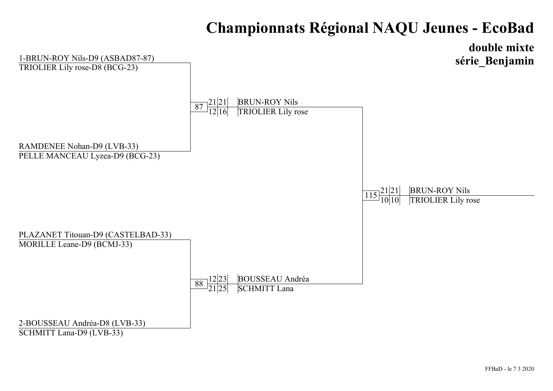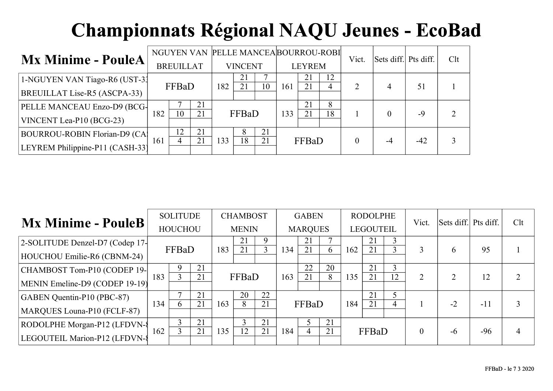|                                      |     |                  |          |     |                |    |     |               | NGUYEN VAN PELLE MANCEA BOURROU-ROBI | Vict.          | Sets diff. Pts diff. |       | Clt |
|--------------------------------------|-----|------------------|----------|-----|----------------|----|-----|---------------|--------------------------------------|----------------|----------------------|-------|-----|
| <b>Mx Minime - PouleA</b>            |     | <b>BREUILLAT</b> |          |     | <b>VINCENT</b> |    |     | <b>LEYREM</b> |                                      |                |                      |       |     |
| 1-NGUYEN VAN Tiago-R6 (UST-31        |     | FFBaD            |          | 182 | 21<br>21       | 10 | 161 | 21<br>21      | 12                                   | $\overline{2}$ |                      | 51    |     |
| BREUILLAT Lise-R5 (ASCPA-33)         |     |                  |          |     |                |    |     |               | 4                                    |                | 4                    |       |     |
| PELLE MANCEAU Enzo-D9 (BCG-          | 182 | 10               | 21<br>21 |     | FFBaD          |    | 133 | 21<br>21      | 8<br>18                              |                |                      | $-9$  |     |
| VINCENT Lea-P10 (BCG-23)             |     |                  |          |     |                |    |     |               |                                      |                |                      |       |     |
| <b>BOURROU-ROBIN Florian-D9 (CA)</b> |     | 12               | 21       |     | 8              | 21 |     |               |                                      |                |                      |       |     |
| LEYREM Philippine-P11 (CASH-33)      | 161 | 4                | 21       | 133 | 18             | 21 |     | FFBaD         |                                      | $\theta$       | -4                   | $-42$ |     |

| <b>Mx Minime - PouleB</b>       |     | <b>SOLITUDE</b> |    |     | <b>CHAMBOST</b> |    |     | <b>GABEN</b>   |    |     | <b>RODOLPHE</b>  |    | Vict.    | Sets diff. Pts diff. |       | Clt |
|---------------------------------|-----|-----------------|----|-----|-----------------|----|-----|----------------|----|-----|------------------|----|----------|----------------------|-------|-----|
|                                 |     | <b>HOUCHOU</b>  |    |     | <b>MENIN</b>    |    |     | <b>MARQUES</b> |    |     | <b>LEGOUTEIL</b> |    |          |                      |       |     |
| 2-SOLITUDE Denzel-D7 (Codep 17- |     |                 |    |     | 21              | 9  |     | 21             |    |     | 21               | 3  |          |                      |       |     |
| HOUCHOU Emilie-R6 (CBNM-24)     |     | FFBaD           |    | 183 | 21              |    | 134 | 21             | 6  | 162 | 21               | 3  |          | h                    | 95    |     |
| CHAMBOST Tom-P10 (CODEP 19-     |     |                 | 21 |     |                 |    |     | 22             | 20 |     | 21               | 3  |          | ↑                    |       |     |
| MENIN Emeline-D9 (CODEP 19-19)  | 183 |                 | 21 |     | FFBaD           |    | 163 | 21             | 8  | 135 | 21               | 12 | 2        |                      | 12    |     |
| GABEN Quentin-P10 (PBC-87)      |     |                 | 21 |     | 20              | 22 |     |                |    |     | 21               | 5  |          |                      |       |     |
| MARQUES Louna-P10 (FCLF-87)     | 134 | 6               | 21 | 163 | 8               | 21 |     | FFBaD          |    | 184 | 21               | 4  |          | $-2$                 | $-11$ |     |
| RODOLPHE Morgan-P12 (LFDVN-{    |     | 3               | 21 |     | ◠               | 21 |     |                | 21 |     |                  |    |          |                      |       |     |
| LEGOUTEIL Marion-P12 (LFDVN-8   | 162 | 3               | 21 | 135 | 12              | 21 | 184 | $\overline{4}$ | 21 |     | FFBaD            |    | $\theta$ | -6                   | $-96$ |     |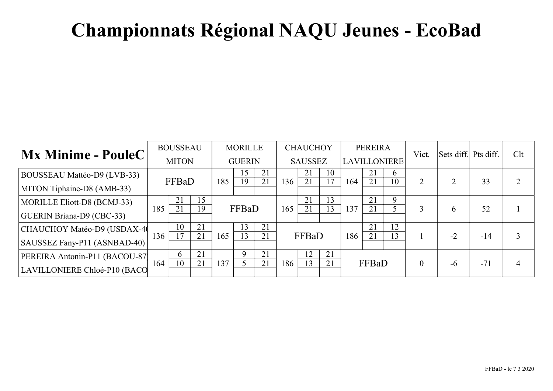| Mx Minime - PouleC                                             |     | <b>BOUSSEAU</b><br><b>MITON</b> |          |     | <b>MORILLE</b><br><b>GUERIN</b> |          |     | <b>CHAUCHOY</b><br><b>SAUSSEZ</b> |          | <b>LAVILLONIERE</b> | <b>PEREIRA</b> |                | Vict.          | Sets diff. Pts diff. |       | Clt |
|----------------------------------------------------------------|-----|---------------------------------|----------|-----|---------------------------------|----------|-----|-----------------------------------|----------|---------------------|----------------|----------------|----------------|----------------------|-------|-----|
| BOUSSEAU Mattéo-D9 (LVB-33)<br>MITON Tiphaine-D8 (AMB-33)      |     | FFBaD                           |          | 185 | 15<br>19                        | 21<br>21 | 136 | 21<br>21                          | 10<br>17 | 164                 | 21<br>21       | $\theta$<br>10 | $\overline{2}$ |                      | 33    |     |
| MORILLE Eliott-D8 (BCMJ-33)<br>GUERIN Briana-D9 (CBC-33)       | 185 | 21<br>21                        | 15<br>19 |     | FFBaD                           |          | 165 | 21<br>21                          | 13<br>13 | 137                 | 21<br>21       | 9              |                | <sub>b</sub>         | 52    |     |
| CHAUCHOY Matéo-D9 (USDAX-40<br>SAUSSEZ Fany-P11 (ASNBAD-40)    | 136 | 10<br>17                        | 21<br>21 | 165 | 13<br>13                        | 21<br>21 |     | FFBaD                             |          | 186                 | 21<br>21       | 12<br>13       |                | $-2$                 | $-14$ |     |
| PEREIRA Antonin-P11 (BACOU-87)<br>LAVILLONIERE Chloé-P10 (BACO | 164 | 6<br>10                         | 21<br>21 | 137 | $\mathbf Q$                     | 21<br>21 | 186 | 12<br>13                          | 21<br>21 |                     | FFBaD          |                | $\theta$       | -6                   | $-71$ |     |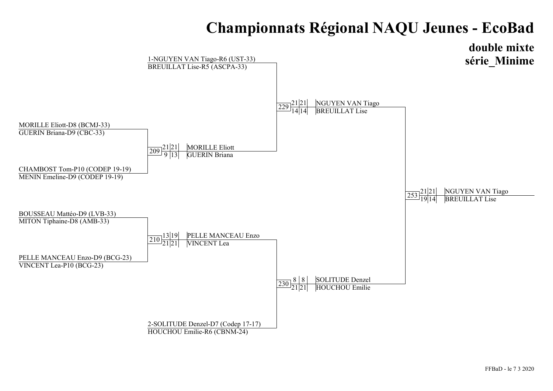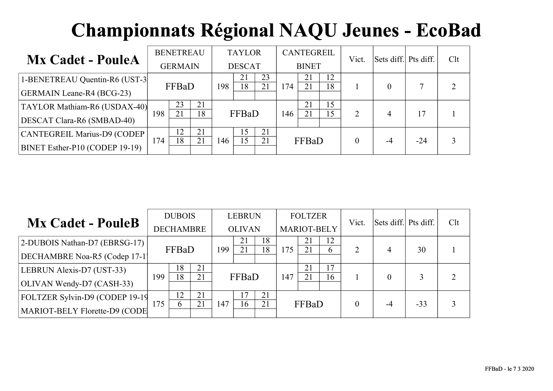| <b>Mx Cadet - PouleA</b>         |     | <b>BENETREAU</b> |          |     | <b>TAYLOR</b> |          |     | CANTEGREIL   |          | Vict.    | Sets diff. Pts diff. |       | Clt |
|----------------------------------|-----|------------------|----------|-----|---------------|----------|-----|--------------|----------|----------|----------------------|-------|-----|
|                                  |     | <b>GERMAIN</b>   |          |     | <b>DESCAT</b> |          |     | <b>BINET</b> |          |          |                      |       |     |
| 1-BENETREAU Quentin-R6 (UST-3)   |     | FFBaD            |          | 198 | 21<br>18      | 23<br>21 | 174 | 21<br>21     | 12<br>18 |          | $\Omega$             |       |     |
| <b>GERMAIN Leane-R4 (BCG-23)</b> |     |                  |          |     |               |          |     |              |          |          |                      |       |     |
| TAYLOR Mathiam-R6 (USDAX-40)     | 198 | 23<br>21         | 21<br>18 |     | FFBaD         |          | 146 | 21<br>21     | 15<br>15 | 2        | $\overline{4}$       |       |     |
| DESCAT Clara-R6 (SMBAD-40)       |     |                  |          |     |               |          |     |              |          |          |                      |       |     |
| CANTEGREIL Marius-D9 (CODEP)     |     | 12               | 21       |     | 15            | 21       |     |              |          |          |                      |       |     |
| BINET Esther-P10 (CODEP 19-19)   | 74ء | 18               | 21       | 146 | 15            | 21       |     | FFBaD        |          | $\theta$ | $-4$                 | $-24$ |     |

|                                |     | <b>DUBOIS</b>    |    |     | <b>LEBRUN</b> |    |     | <b>FOLTZER</b>     |    | Vict.          | Sets diff. Pts diff. |       | Clt            |
|--------------------------------|-----|------------------|----|-----|---------------|----|-----|--------------------|----|----------------|----------------------|-------|----------------|
| <b>Mx Cadet - PouleB</b>       |     | <b>DECHAMBRE</b> |    |     | <b>OLIVAN</b> |    |     | <b>MARIOT-BELY</b> |    |                |                      |       |                |
| 2-DUBOIS Nathan-D7 (EBRSG-17)  |     |                  |    | 199 | 21            | 18 |     | 21                 | 12 |                |                      |       |                |
| DECHAMBRE Noa-R5 (Codep 17-1)  |     | FFBaD            |    |     | 21            | 18 | 175 | 21                 | 6  | $\overline{2}$ | 4                    | 30    |                |
| LEBRUN Alexis-D7 (UST-33)      |     | 18               | 21 |     |               |    |     | 21                 | 17 |                |                      |       |                |
| OLIVAN Wendy-D7 (CASH-33)      | 199 | 18               | 21 |     | FFBaD         |    | 147 | 21                 | 16 |                |                      |       | $\overline{2}$ |
| FOLTZER Sylvin-D9 (CODEP 19-19 |     | 12               | 21 |     | 17            | 21 |     |                    |    |                |                      |       |                |
| MARIOT-BELY Florette-D9 (CODE  | 175 | <sub>b</sub>     | 21 | 147 | 16            | 21 |     | FFBaD              |    |                | -4                   | $-33$ |                |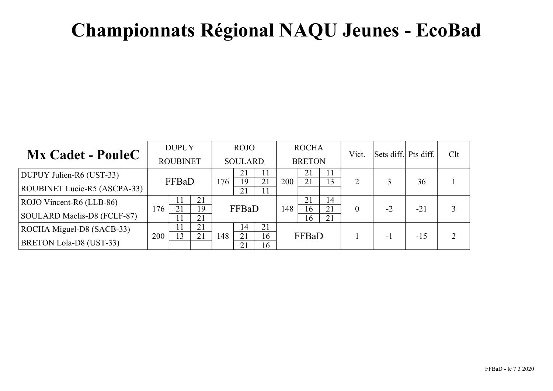|                                |     | <b>DUPUY</b>    |          |     | <b>ROJO</b>    |          |     | <b>ROCHA</b>  |          | Vict.    | Sets diff. Pts diff. |       | Clt |
|--------------------------------|-----|-----------------|----------|-----|----------------|----------|-----|---------------|----------|----------|----------------------|-------|-----|
| <b>Mx Cadet - PouleC</b>       |     | <b>ROUBINET</b> |          |     | <b>SOULARD</b> |          |     | <b>BRETON</b> |          |          |                      |       |     |
| DUPUY Julien-R6 (UST-33)       |     |                 |          |     | 21             | 11       |     | 21            | 11       | າ        |                      |       |     |
| ROUBINET Lucie-R5 (ASCPA-33)   |     | FFBaD           |          | 176 | 19<br>21       | 21<br>11 | 200 | 21            | 13       |          |                      | 36    |     |
| ROJO Vincent-R6 (LLB-86)       |     | 11              | 21       |     |                |          |     | 21            | 14       |          |                      |       |     |
| SOULARD Maelis-D8 (FCLF-87)    | 176 | 21<br>11        | 19<br>21 |     | FFBaD          |          | 148 | 16<br>16      | 21<br>21 | $\theta$ | $-2$                 | $-21$ |     |
| ROCHA Miguel-D8 (SACB-33)      |     |                 | 21       |     | 14             | 21       |     |               |          |          |                      |       |     |
| <b>BRETON Lola-D8 (UST-33)</b> | 200 | 13              | 21       | 148 | 21<br>21       | 16<br>16 |     | FFBaD         |          |          | $-1$                 | $-15$ |     |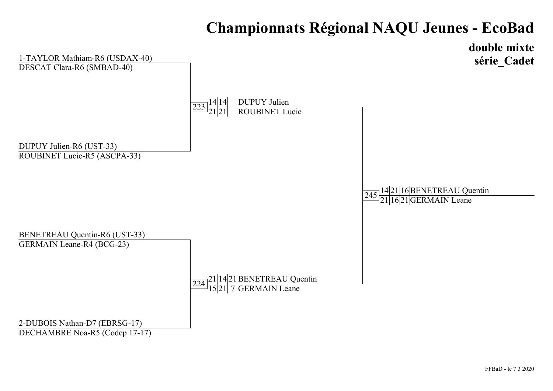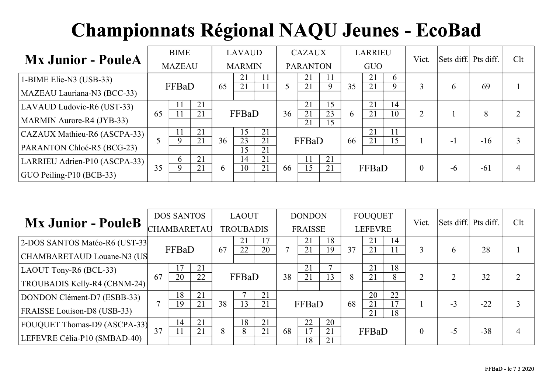| <b>Mx Junior - PouleA</b>        |    | <b>BIME</b>   |          |              | <b>LAVAUD</b> |          |    | <b>CAZAUX</b>   |          |    | <b>LARRIEU</b> |    | Vict.          | Sets diff. Pts diff. |       | Clt |
|----------------------------------|----|---------------|----------|--------------|---------------|----------|----|-----------------|----------|----|----------------|----|----------------|----------------------|-------|-----|
|                                  |    | <b>MAZEAU</b> |          |              | <b>MARMIN</b> |          |    | <b>PARANTON</b> |          |    | <b>GUO</b>     |    |                |                      |       |     |
| 1-BIME Elie-N3 (USB-33)          |    |               |          |              | 21            | 11       |    | 21              | 11       |    | 21             | 6  |                |                      |       |     |
| MAZEAU Lauriana-N3 (BCC-33)      |    | FFBaD         |          | 65           | 21            | 11       |    | 21              | 9        | 35 | 21             | 9  | 3              | <sub>b</sub>         | 69    |     |
| LAVAUD Ludovic-R6 (UST-33)       |    |               | 21<br>21 |              | FFBaD         |          | 36 | 21              | 15<br>23 |    | 21<br>21       | 14 |                |                      |       |     |
| MARMIN Aurore-R4 (JYB-33)        | 65 |               |          |              |               |          |    | 21<br>21        | 15       | 6  |                | 10 | 2              |                      | 8     |     |
| CAZAUX Mathieu-R6 (ASCPA-33)     |    |               | 21       |              | 15            | 21       |    |                 |          |    | 21             | 11 |                |                      |       |     |
| PARANTON Chloé-R5 (BCG-23)       |    |               | 21       | 36           | 23<br>15      | 21<br>21 |    | FFBaD           |          | 66 | 21             | 15 |                | $-1$                 | $-16$ | 3   |
| LARRIEU Adrien-P10 (ASCPA-33)    |    | 6             | 21       |              | 14            | 21       |    |                 | 21       |    |                |    |                |                      |       |     |
| $\vert$ GUO Peiling-P10 (BCB-33) | 35 | 9             | 21       | <sub>0</sub> | 10            | 21       | 66 | 15              | 21       |    | FFBaD          |    | $\overline{0}$ | $-6$                 | $-61$ | 4   |

| <b>Mx Junior - PouleB</b>      |    | <b>DOS SANTOS</b> |    |    | <b>LAOUT</b>     |    |    | <b>DONDON</b>  |          |    | <b>FOUQUET</b> |          | Vict.        | Sets diff. Pts diff. |       | Clt |
|--------------------------------|----|-------------------|----|----|------------------|----|----|----------------|----------|----|----------------|----------|--------------|----------------------|-------|-----|
|                                |    | CHAMBARETAU       |    |    | <b>TROUBADIS</b> |    |    | <b>FRAISSE</b> |          |    | <b>LEFEVRE</b> |          |              |                      |       |     |
| 2-DOS SANTOS Matéo-R6 (UST-33) |    |                   |    |    | 21               | 17 |    | 21             | 18       |    | 21             | 14       |              |                      |       |     |
| CHAMBARETAUD Louane-N3 (US     |    | FFBaD             |    | 67 | 22               | 20 |    | 21             | 19       | 37 | 21             |          | 3            | <sub>6</sub>         | 28    |     |
| LAOUT Tony-R6 (BCL-33)         |    | 17                | 21 |    |                  |    |    | 21             |          |    | 21             | 18       |              |                      |       |     |
| TROUBADIS Kelly-R4 (CBNM-24)   | 67 | 20                | 22 |    | FFBaD            |    | 38 | 21             | 13       | 8  | 21             | 8        | 2            |                      | 32    |     |
| DONDON Clément-D7 (ESBB-33)    |    | 18                | 21 |    |                  | 21 |    |                |          |    | 20             | 22       |              |                      |       |     |
| FRAISSE Louison-D8 (USB-33)    | 7  | 19                | 21 | 38 | 13               | 21 |    | FFBaD          |          | 68 | 21<br>21       | 17<br>18 |              | $-3$                 | $-22$ |     |
| FOUQUET Thomas-D9 (ASCPA-33)   |    | 14                | 21 |    | 18               | 21 |    | 22             | 20       |    |                |          |              |                      |       |     |
| LEFEVRE Célia-P10 (SMBAD-40)   | 37 |                   | 21 | 8  | 8                | 21 | 68 | 17<br>18       | 21<br>21 |    | FFBaD          |          | $\mathbf{0}$ | $-5$                 | $-38$ |     |